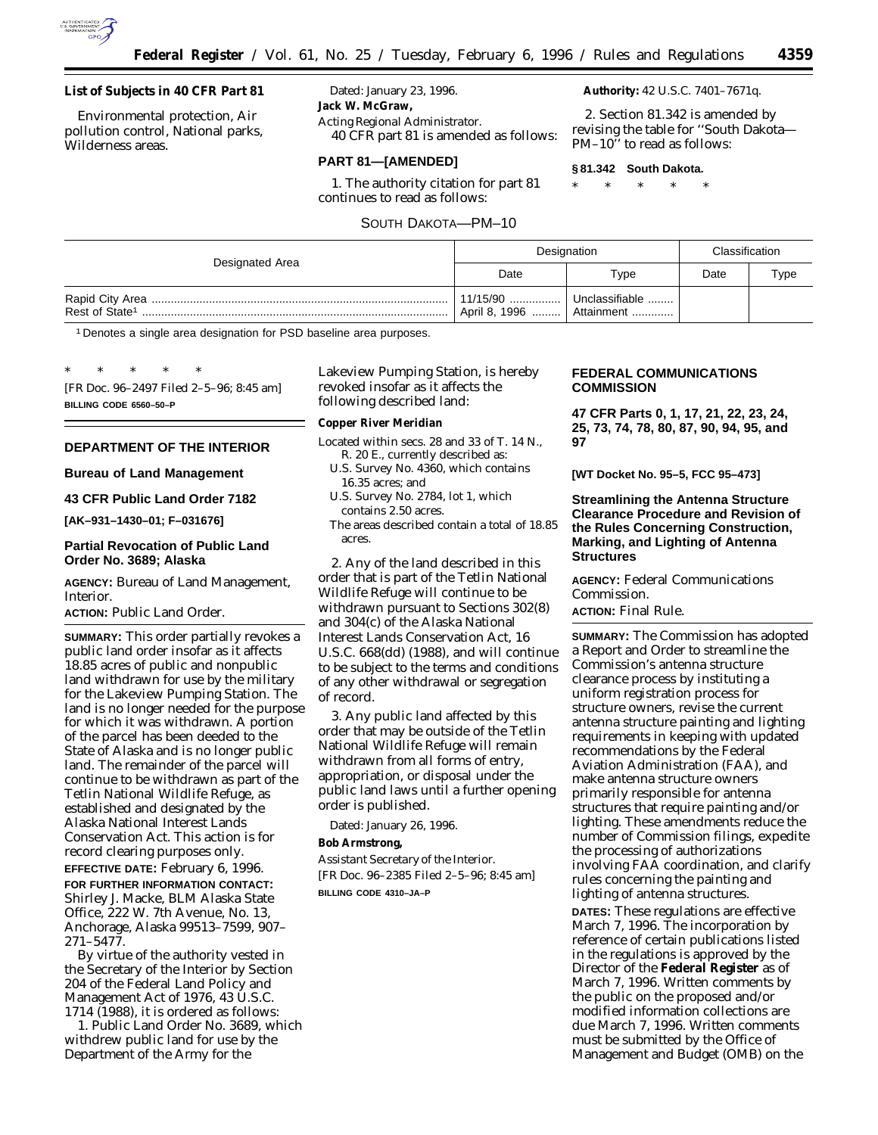

## **List of Subjects in 40 CFR Part 81**

Environmental protection, Air pollution control, National parks, Wilderness areas.

Dated: January 23, 1996. **Jack W. McGraw,** *Acting Regional Administrator.*

40 CFR part 81 is amended as follows:

## **PART 81—[AMENDED]**

1. The authority citation for part 81 continues to read as follows:

SOUTH DAKOTA—PM–10

## **Authority:** 42 U.S.C. 7401–7671q.

2. Section 81.342 is amended by revising the table for ''South Dakota— PM–10" to read as follows:

#### **§ 81.342 South Dakota.**

\* \* \* \* \*

| Designated Area | Designation |                                                           | Classification |      |
|-----------------|-------------|-----------------------------------------------------------|----------------|------|
|                 | Date        | Type                                                      | Date           | Type |
|                 |             | 11/15/90    Unclassifiable<br>April 8, 1996    Attainment |                |      |

1 Denotes a single area designation for PSD baseline area purposes.

\* \* \* \* \* [FR Doc. 96–2497 Filed 2–5–96; 8:45 am] **BILLING CODE 6560–50–P**

## **DEPARTMENT OF THE INTERIOR**

**Bureau of Land Management**

#### **43 CFR Public Land Order 7182**

**[AK–931–1430–01; F–031676]**

## **Partial Revocation of Public Land Order No. 3689; Alaska**

**AGENCY:** Bureau of Land Management, Interior.

## **ACTION:** Public Land Order.

**SUMMARY:** This order partially revokes a public land order insofar as it affects 18.85 acres of public and nonpublic land withdrawn for use by the military for the Lakeview Pumping Station. The land is no longer needed for the purpose for which it was withdrawn. A portion of the parcel has been deeded to the State of Alaska and is no longer public land. The remainder of the parcel will continue to be withdrawn as part of the Tetlin National Wildlife Refuge, as established and designated by the Alaska National Interest Lands Conservation Act. This action is for record clearing purposes only. **EFFECTIVE DATE:** February 6, 1996.

**FOR FURTHER INFORMATION CONTACT:** Shirley J. Macke, BLM Alaska State Office, 222 W. 7th Avenue, No. 13, Anchorage, Alaska 99513–7599, 907– 271–5477.

By virtue of the authority vested in the Secretary of the Interior by Section 204 of the Federal Land Policy and Management Act of 1976, 43 U.S.C. 1714 (1988), it is ordered as follows:

1. Public Land Order No. 3689, which withdrew public land for use by the Department of the Army for the

Lakeview Pumping Station, is hereby revoked insofar as it affects the following described land:

**Copper River Meridian**

- Located within secs. 28 and 33 of T. 14 N., R. 20 E., currently described as:
	- U.S. Survey No. 4360, which contains 16.35 acres; and
	- U.S. Survey No. 2784, lot 1, which contains 2.50 acres.
	- The areas described contain a total of 18.85 acres.

2. Any of the land described in this order that is part of the Tetlin National Wildlife Refuge will continue to be withdrawn pursuant to Sections 302(8) and 304(c) of the Alaska National Interest Lands Conservation Act, 16 U.S.C. 668(dd) (1988), and will continue to be subject to the terms and conditions of any other withdrawal or segregation of record.

3. Any public land affected by this order that may be outside of the Tetlin National Wildlife Refuge will remain withdrawn from all forms of entry, appropriation, or disposal under the public land laws until a further opening order is published.

Dated: January 26, 1996.

**Bob Armstrong,**

*Assistant Secretary of the Interior.* [FR Doc. 96–2385 Filed 2–5–96; 8:45 am] **BILLING CODE 4310–JA–P**

## **FEDERAL COMMUNICATIONS COMMISSION**

**47 CFR Parts 0, 1, 17, 21, 22, 23, 24, 25, 73, 74, 78, 80, 87, 90, 94, 95, and 97**

**[WT Docket No. 95–5, FCC 95–473]**

## **Streamlining the Antenna Structure Clearance Procedure and Revision of the Rules Concerning Construction, Marking, and Lighting of Antenna Structures**

**AGENCY:** Federal Communications Commission.

## **ACTION:** Final Rule.

**SUMMARY:** The Commission has adopted a Report and Order to streamline the Commission's antenna structure clearance process by instituting a uniform registration process for structure owners, revise the current antenna structure painting and lighting requirements in keeping with updated recommendations by the Federal Aviation Administration (FAA), and make antenna structure owners primarily responsible for antenna structures that require painting and/or lighting. These amendments reduce the number of Commission filings, expedite the processing of authorizations involving FAA coordination, and clarify rules concerning the painting and lighting of antenna structures. **DATES:** These regulations are effective March 7, 1996. The incorporation by reference of certain publications listed

in the regulations is approved by the Director of the **Federal Register** as of March 7, 1996. Written comments by the public on the proposed and/or modified information collections are due March 7, 1996. Written comments must be submitted by the Office of Management and Budget (OMB) on the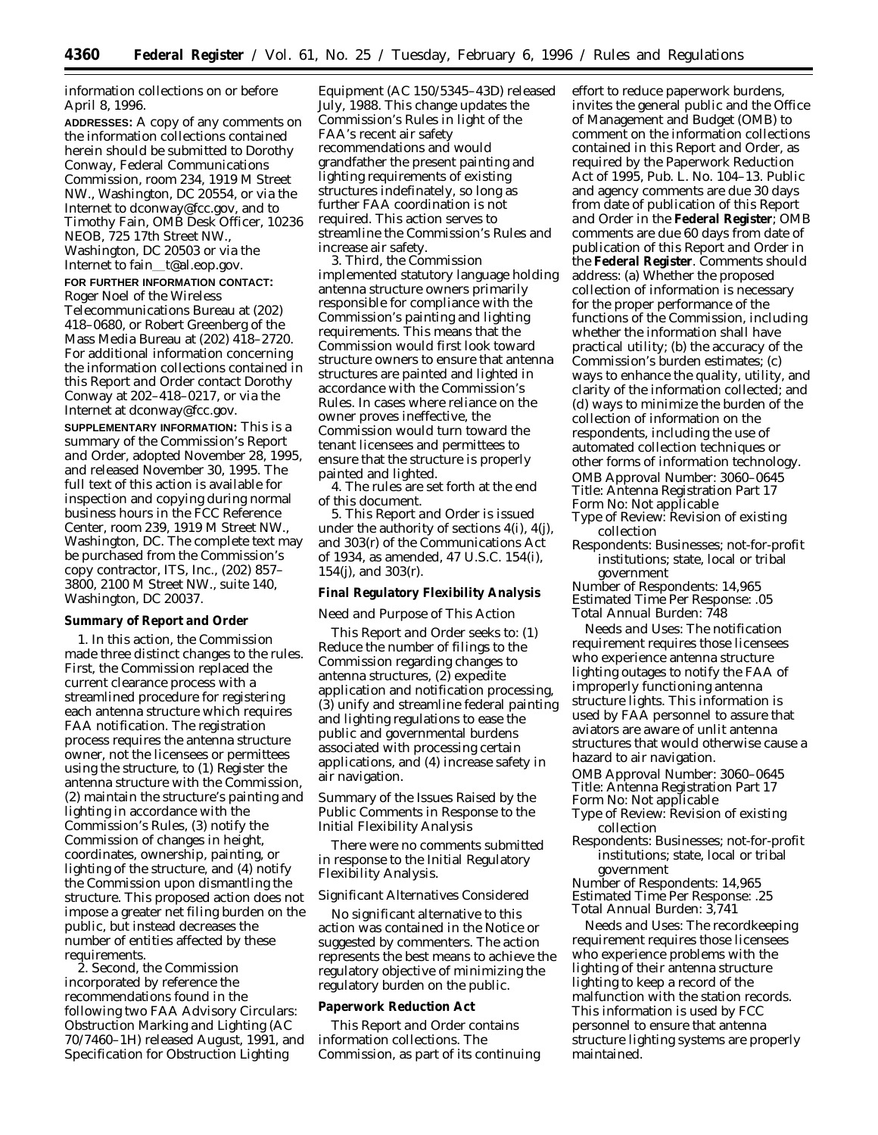information collections on or before April 8, 1996.

**ADDRESSES:** A copy of any comments on the information collections contained herein should be submitted to Dorothy Conway, Federal Communications Commission, room 234, 1919 M Street NW., Washington, DC 20554, or via the Internet to dconway@fcc.gov, and to Timothy Fain, OMB Desk Officer, 10236 NEOB, 725 17th Street NW., Washington, DC 20503 or via the Internet to fain\_t@al.eop.gov.

## **FOR FURTHER INFORMATION CONTACT:** Roger Noel of the Wireless

Telecommunications Bureau at (202) 418–0680, or Robert Greenberg of the Mass Media Bureau at (202) 418–2720. For additional information concerning the information collections contained in this *Report and Order* contact Dorothy Conway at 202–418–0217, or via the Internet at dconway@fcc.gov.

**SUPPLEMENTARY INFORMATION:** This is a summary of the Commission's *Report and Order*, adopted November 28, 1995, and released November 30, 1995. The full text of this action is available for inspection and copying during normal business hours in the FCC Reference Center, room 239, 1919 M Street NW., Washington, DC. The complete text may be purchased from the Commission's copy contractor, ITS, Inc., (202) 857– 3800, 2100 M Street NW., suite 140, Washington, DC 20037.

#### **Summary of Report and Order**

1. In this action, the Commission made three distinct changes to the rules. First, the Commission replaced the current clearance process with a streamlined procedure for registering each antenna structure which requires FAA notification. The registration process requires the antenna structure owner, not the licensees or permittees using the structure, to (1) Register the antenna structure with the Commission, (2) maintain the structure's painting and lighting in accordance with the Commission's Rules, (3) notify the Commission of changes in height, coordinates, ownership, painting, or lighting of the structure, and (4) notify the Commission upon dismantling the structure. This proposed action does not impose a greater net filing burden on the public, but instead decreases the number of entities affected by these requirements.

2. Second, the Commission incorporated by reference the recommendations found in the following two FAA Advisory Circulars: *Obstruction Marking and Lighting* (AC 70/7460–1H) released August, 1991, and *Specification for Obstruction Lighting*

*Equipment* (AC 150/5345–43D) released July, 1988. This change updates the Commission's Rules in light of the FAA's recent air safety recommendations and would grandfather the present painting and lighting requirements of existing structures indefinately, so long as further FAA coordination is not required. This action serves to streamline the Commission's Rules and increase air safety.

3. Third, the Commission implemented statutory language holding antenna structure owners primarily responsible for compliance with the Commission's painting and lighting requirements. This means that the Commission would first look toward structure owners to ensure that antenna structures are painted and lighted in accordance with the Commission's Rules. In cases where reliance on the owner proves ineffective, the Commission would turn toward the tenant licensees and permittees to ensure that the structure is properly painted and lighted.

4. The rules are set forth at the end of this document.

5. This *Report and Order* is issued under the authority of sections 4(i), 4(j), and 303(r) of the Communications Act of 1934, as amended, 47 U.S.C. 154(i), 154(j), and 303(r).

#### **Final Regulatory Flexibility Analysis**

#### *Need and Purpose of This Action*

This *Report and Order* seeks to: (1) Reduce the number of filings to the Commission regarding changes to antenna structures, (2) expedite application and notification processing, (3) unify and streamline federal painting and lighting regulations to ease the public and governmental burdens associated with processing certain applications, and (4) increase safety in air navigation.

*Summary of the Issues Raised by the Public Comments in Response to the Initial Flexibility Analysis*

There were no comments submitted in response to the Initial Regulatory Flexibility Analysis.

## *Significant Alternatives Considered*

No significant alternative to this action was contained in the *Notice* or suggested by commenters. The action represents the best means to achieve the regulatory objective of minimizing the regulatory burden on the public.

## **Paperwork Reduction Act**

This *Report and Order* contains information collections. The Commission, as part of its continuing effort to reduce paperwork burdens, invites the general public and the Office of Management and Budget (OMB) to comment on the information collections contained in this *Report and Order,* as required by the Paperwork Reduction Act of 1995, Pub. L. No. 104–13. Public and agency comments are due 30 days from date of publication of this *Report and Order* in the **Federal Register**; OMB comments are due 60 days from date of publication of this *Report and Order* in the **Federal Register**. Comments should address: (a) Whether the proposed collection of information is necessary for the proper performance of the functions of the Commission, including whether the information shall have practical utility; (b) the accuracy of the Commission's burden estimates; (c) ways to enhance the quality, utility, and clarity of the information collected; and (d) ways to minimize the burden of the collection of information on the respondents, including the use of automated collection techniques or other forms of information technology. *OMB Approval Number:* 3060–0645 *Title:* Antenna Registration Part 17 *Form No:* Not applicable

*Type of Review:* Revision of existing collection

*Respondents:* Businesses; not-for-profit institutions; state, local or tribal government

*Number of Respondents:* 14,965 *Estimated Time Per Response:* .05 *Total Annual Burden:* 748

*Needs and Uses:* The notification requirement requires those licensees who experience antenna structure lighting outages to notify the FAA of improperly functioning antenna structure lights. This information is used by FAA personnel to assure that aviators are aware of unlit antenna structures that would otherwise cause a hazard to air navigation.

*OMB Approval Number:* 3060–0645 *Title:* Antenna Registration Part 17 *Form No:* Not applicable

- *Type of Review:* Revision of existing collection
- *Respondents:* Businesses; not-for-profit institutions; state, local or tribal government

*Number of Respondents:* 14,965 *Estimated Time Per Response:* .25 *Total Annual Burden:* 3,741

*Needs and Uses:* The recordkeeping requirement requires those licensees who experience problems with the lighting of their antenna structure lighting to keep a record of the malfunction with the station records. This information is used by FCC personnel to ensure that antenna structure lighting systems are properly maintained.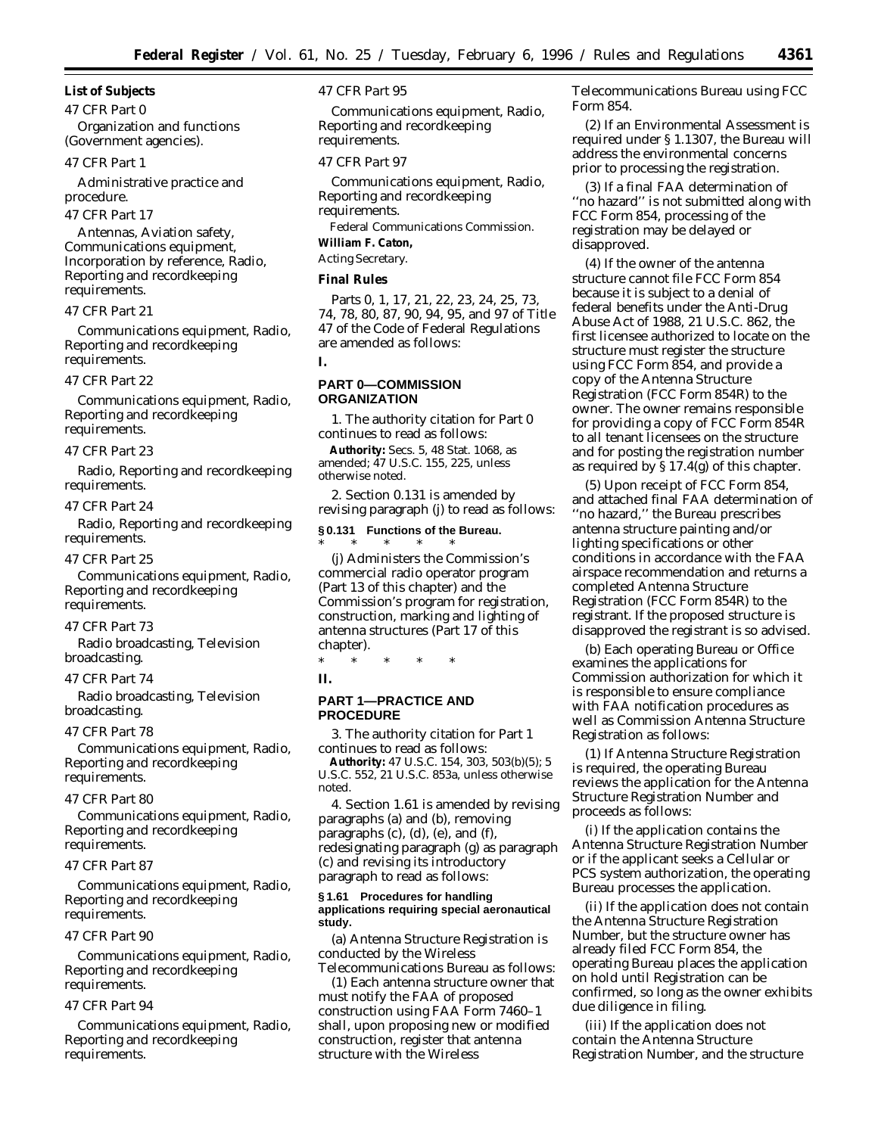**List of Subjects**

*47 CFR Part 0* Organization and functions (Government agencies).

## *47 CFR Part 1*

Administrative practice and procedure.

#### *47 CFR Part 17*

Antennas, Aviation safety, Communications equipment, Incorporation by reference, Radio, Reporting and recordkeeping requirements.

## *47 CFR Part 21*

Communications equipment, Radio, Reporting and recordkeeping requirements.

#### *47 CFR Part 22*

Communications equipment, Radio, Reporting and recordkeeping requirements.

#### *47 CFR Part 23*

Radio, Reporting and recordkeeping requirements.

#### *47 CFR Part 24*

Radio, Reporting and recordkeeping requirements.

#### *47 CFR Part 25*

Communications equipment, Radio, Reporting and recordkeeping requirements.

#### *47 CFR Part 73*

Radio broadcasting, Television broadcasting.

#### *47 CFR Part 74*

Radio broadcasting, Television broadcasting.

#### *47 CFR Part 78*

Communications equipment, Radio, Reporting and recordkeeping requirements.

## *47 CFR Part 80*

Communications equipment, Radio, Reporting and recordkeeping requirements.

#### *47 CFR Part 87*

Communications equipment, Radio, Reporting and recordkeeping requirements.

## *47 CFR Part 90*

Communications equipment, Radio, Reporting and recordkeeping requirements.

## *47 CFR Part 94*

Communications equipment, Radio, Reporting and recordkeeping requirements.

## *47 CFR Part 95*

Communications equipment, Radio, Reporting and recordkeeping requirements.

## *47 CFR Part 97*

Communications equipment, Radio, Reporting and recordkeeping requirements. Federal Communications Commission.

# **William F. Caton,**

# *Acting Secretary.*

## **Final Rules**

Parts 0, 1, 17, 21, 22, 23, 24, 25, 73, 74, 78, 80, 87, 90, 94, 95, and 97 of Title 47 of the Code of Federal Regulations are amended as follows: **I.**

## **PART 0—COMMISSION ORGANIZATION**

1. The authority citation for Part 0 continues to read as follows:

**Authority:** Secs. 5, 48 Stat. 1068, as amended; 47 U.S.C. 155, 225, unless otherwise noted.

2. Section 0.131 is amended by revising paragraph (j) to read as follows:

## **§ 0.131 Functions of the Bureau.** \* \* \* \* \*

(j) Administers the Commission's commercial radio operator program (Part 13 of this chapter) and the Commission's program for registration, construction, marking and lighting of antenna structures (Part 17 of this chapter).

\* \* \* \* \* **II.**

## **PART 1—PRACTICE AND PROCEDURE**

3. The authority citation for Part 1 continues to read as follows:

**Authority:** 47 U.S.C. 154, 303, 503(b)(5); 5 U.S.C. 552, 21 U.S.C. 853a, unless otherwise noted.

4. Section 1.61 is amended by revising paragraphs (a) and (b), removing paragraphs (c), (d), (e), and (f), redesignating paragraph (g) as paragraph (c) and revising its introductory paragraph to read as follows:

#### **§ 1.61 Procedures for handling applications requiring special aeronautical study.**

(a) Antenna Structure Registration is conducted by the Wireless Telecommunications Bureau as follows:

(1) Each antenna structure owner that must notify the FAA of proposed construction using FAA Form 7460–1 shall, upon proposing new or modified construction, register that antenna structure with the Wireless

Telecommunications Bureau using FCC Form 854.

(2) If an Environmental Assessment is required under § 1.1307, the Bureau will address the environmental concerns prior to processing the registration.

(3) If a final FAA determination of ''no hazard'' is not submitted along with FCC Form 854, processing of the registration may be delayed or disapproved.

(4) If the owner of the antenna structure cannot file FCC Form 854 because it is subject to a denial of federal benefits under the Anti-Drug Abuse Act of 1988, 21 U.S.C. 862, the first licensee authorized to locate on the structure must register the structure using FCC Form 854, and provide a copy of the Antenna Structure Registration (FCC Form 854R) to the owner. The owner remains responsible for providing a copy of FCC Form 854R to all tenant licensees on the structure and for posting the registration number as required by § 17.4(g) of this chapter.

(5) Upon receipt of FCC Form 854, and attached final FAA determination of ''no hazard,'' the Bureau prescribes antenna structure painting and/or lighting specifications or other conditions in accordance with the FAA airspace recommendation and returns a completed Antenna Structure Registration (FCC Form 854R) to the registrant. If the proposed structure is disapproved the registrant is so advised.

(b) Each operating Bureau or Office examines the applications for Commission authorization for which it is responsible to ensure compliance with FAA notification procedures as well as Commission Antenna Structure Registration as follows:

(1) If Antenna Structure Registration is required, the operating Bureau reviews the application for the Antenna Structure Registration Number and proceeds as follows:

(i) If the application contains the Antenna Structure Registration Number or if the applicant seeks a Cellular or PCS system authorization, the operating Bureau processes the application.

(ii) If the application does not contain the Antenna Structure Registration Number, but the structure owner has already filed FCC Form 854, the operating Bureau places the application on hold until Registration can be confirmed, so long as the owner exhibits due diligence in filing.

(iii) If the application does not contain the Antenna Structure Registration Number, and the structure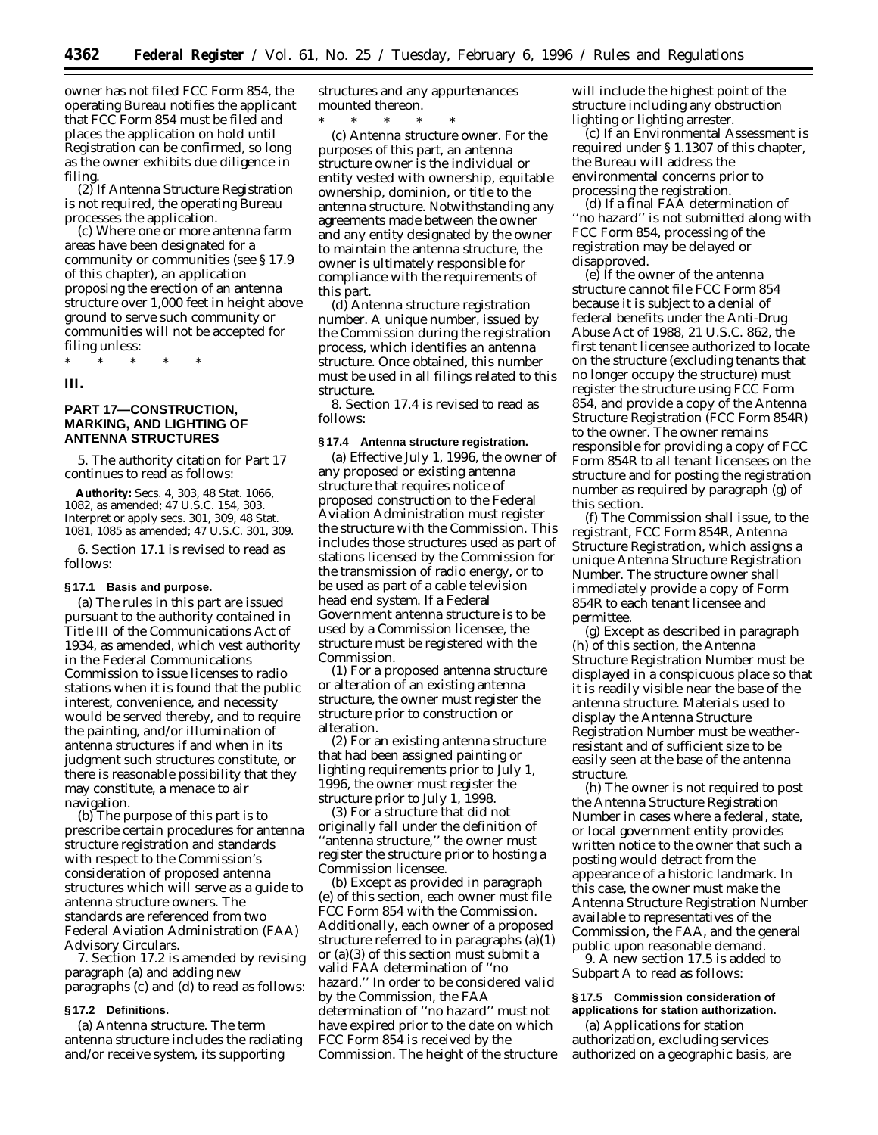owner has not filed FCC Form 854, the operating Bureau notifies the applicant that FCC Form 854 must be filed and places the application on hold until Registration can be confirmed, so long as the owner exhibits due diligence in filing.

(2) If Antenna Structure Registration is not required, the operating Bureau processes the application.

(c) Where one or more antenna farm areas have been designated for a community or communities (see § 17.9 of this chapter), an application proposing the erection of an antenna structure over 1,000 feet in height above ground to serve such community or communities will not be accepted for filing unless:

\* \* \* \* \*

**III.**

## **PART 17—CONSTRUCTION, MARKING, AND LIGHTING OF ANTENNA STRUCTURES**

5. The authority citation for Part 17 continues to read as follows:

**Authority:** Secs. 4, 303, 48 Stat. 1066, 1082, as amended; 47 U.S.C. 154, 303. Interpret or apply secs. 301, 309, 48 Stat. 1081, 1085 as amended; 47 U.S.C. 301, 309.

6. Section 17.1 is revised to read as follows:

#### **§ 17.1 Basis and purpose.**

(a) The rules in this part are issued pursuant to the authority contained in Title III of the Communications Act of 1934, as amended, which vest authority in the Federal Communications Commission to issue licenses to radio stations when it is found that the public interest, convenience, and necessity would be served thereby, and to require the painting, and/or illumination of antenna structures if and when in its judgment such structures constitute, or there is reasonable possibility that they may constitute, a menace to air navigation.

(b) The purpose of this part is to prescribe certain procedures for antenna structure registration and standards with respect to the Commission's consideration of proposed antenna structures which will serve as a guide to antenna structure owners. The standards are referenced from two Federal Aviation Administration (FAA) Advisory Circulars.

7. Section 17.2 is amended by revising paragraph (a) and adding new paragraphs (c) and (d) to read as follows:

## **§ 17.2 Definitions.**

(a) *Antenna structure.* The term antenna structure includes the radiating and/or receive system, its supporting

structures and any appurtenances mounted thereon.

\* \* \* \* \* (c) *Antenna structure owner.* For the purposes of this part, an antenna structure owner is the individual or entity vested with ownership, equitable ownership, dominion, or title to the antenna structure. Notwithstanding any agreements made between the owner and any entity designated by the owner to maintain the antenna structure, the owner is ultimately responsible for compliance with the requirements of this part.

(d) *Antenna structure registration number.* A unique number, issued by the Commission during the registration process, which identifies an antenna structure. Once obtained, this number must be used in all filings related to this structure.

8. Section 17.4 is revised to read as follows:

#### **§ 17.4 Antenna structure registration.**

(a) Effective July 1, 1996, the owner of any proposed or existing antenna structure that requires notice of proposed construction to the Federal Aviation Administration must register the structure with the Commission. This includes those structures used as part of stations licensed by the Commission for the transmission of radio energy, or to be used as part of a cable television head end system. If a Federal Government antenna structure is to be used by a Commission licensee, the structure must be registered with the Commission.

(1) For a proposed antenna structure or alteration of an existing antenna structure, the owner must register the structure prior to construction or alteration.

(2) For an existing antenna structure that had been assigned painting or lighting requirements prior to July 1, 1996, the owner must register the structure prior to July 1, 1998.

(3) For a structure that did not originally fall under the definition of ''antenna structure,'' the owner must register the structure prior to hosting a Commission licensee.

(b) Except as provided in paragraph (e) of this section, each owner must file FCC Form 854 with the Commission. Additionally, each owner of a proposed structure referred to in paragraphs (a)(1) or (a)(3) of this section must submit a valid FAA determination of ''no hazard.'' In order to be considered valid by the Commission, the FAA determination of ''no hazard'' must not have expired prior to the date on which FCC Form 854 is received by the Commission. The height of the structure will include the highest point of the structure including any obstruction lighting or lighting arrester.

(c) If an Environmental Assessment is required under § 1.1307 of this chapter, the Bureau will address the environmental concerns prior to processing the registration.

(d) If a final FAA determination of ''no hazard'' is not submitted along with FCC Form 854, processing of the registration may be delayed or disapproved.

(e) If the owner of the antenna structure cannot file FCC Form 854 because it is subject to a denial of federal benefits under the Anti-Drug Abuse Act of 1988, 21 U.S.C. 862, the first tenant licensee authorized to locate on the structure (excluding tenants that no longer occupy the structure) must register the structure using FCC Form 854, and provide a copy of the Antenna Structure Registration (FCC Form 854R) to the owner. The owner remains responsible for providing a copy of FCC Form 854R to all tenant licensees on the structure and for posting the registration number as required by paragraph (g) of this section.

(f) The Commission shall issue, to the registrant, FCC Form 854R, Antenna Structure Registration, which assigns a unique Antenna Structure Registration Number. The structure owner shall immediately provide a copy of Form 854R to each tenant licensee and permittee.

(g) Except as described in paragraph (h) of this section, the Antenna Structure Registration Number must be displayed in a conspicuous place so that it is readily visible near the base of the antenna structure. Materials used to display the Antenna Structure Registration Number must be weatherresistant and of sufficient size to be easily seen at the base of the antenna structure.

(h) The owner is not required to post the Antenna Structure Registration Number in cases where a federal, state, or local government entity provides written notice to the owner that such a posting would detract from the appearance of a historic landmark. In this case, the owner must make the Antenna Structure Registration Number available to representatives of the Commission, the FAA, and the general public upon reasonable demand.

9. A new section 17.5 is added to Subpart A to read as follows:

## **§ 17.5 Commission consideration of applications for station authorization.**

(a) Applications for station authorization, excluding services authorized on a geographic basis, are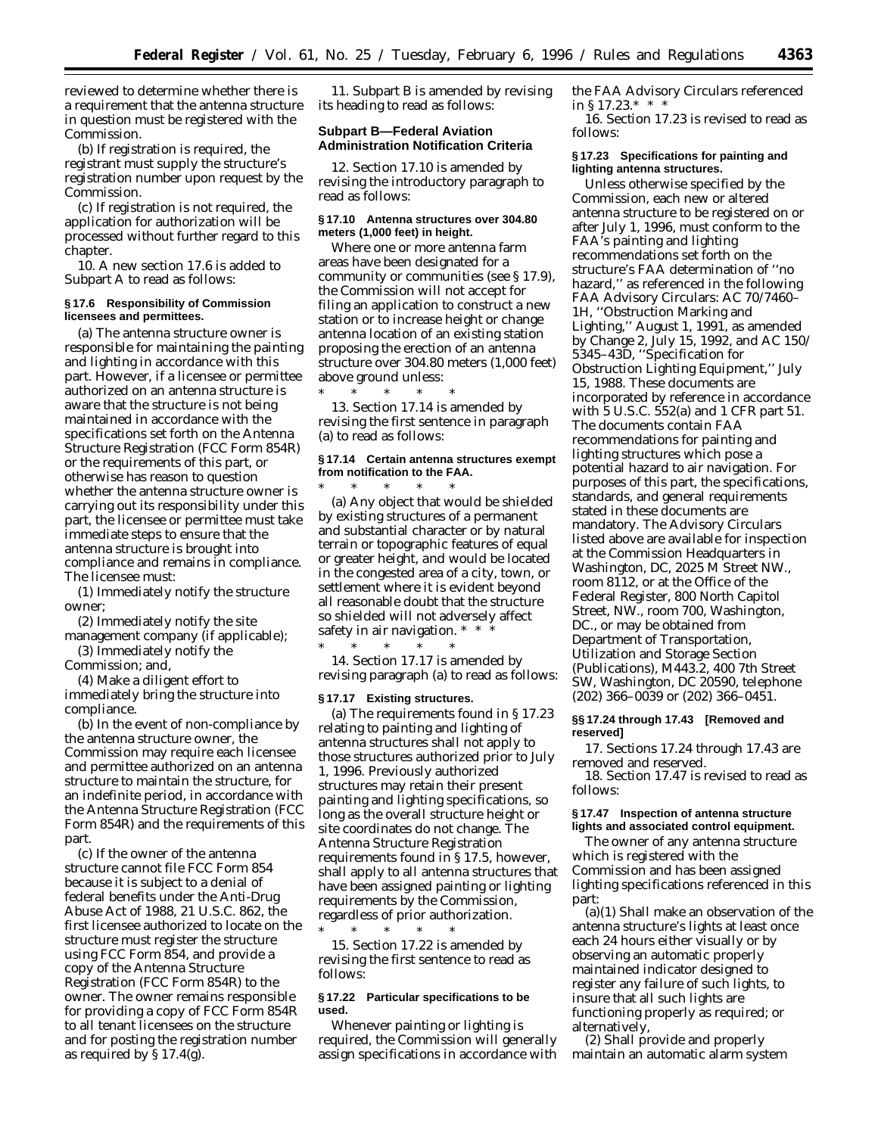reviewed to determine whether there is a requirement that the antenna structure in question must be registered with the Commission.

(b) If registration is required, the registrant must supply the structure's registration number upon request by the Commission.

(c) If registration is not required, the application for authorization will be processed without further regard to this chapter.

10. A new section 17.6 is added to Subpart A to read as follows:

## **§ 17.6 Responsibility of Commission licensees and permittees.**

(a) The antenna structure owner is responsible for maintaining the painting and lighting in accordance with this part. However, if a licensee or permittee authorized on an antenna structure is aware that the structure is not being maintained in accordance with the specifications set forth on the Antenna Structure Registration (FCC Form 854R) or the requirements of this part, or otherwise has reason to question whether the antenna structure owner is carrying out its responsibility under this part, the licensee or permittee must take immediate steps to ensure that the antenna structure is brought into compliance and remains in compliance. The licensee must:

(1) Immediately notify the structure owner;

- (2) Immediately notify the site management company (if applicable);
- (3) Immediately notify the Commission; and,

(4) Make a diligent effort to immediately bring the structure into compliance.

(b) In the event of non-compliance by the antenna structure owner, the Commission may require each licensee and permittee authorized on an antenna structure to maintain the structure, for an indefinite period, in accordance with the Antenna Structure Registration (FCC Form 854R) and the requirements of this part.

(c) If the owner of the antenna structure cannot file FCC Form 854 because it is subject to a denial of federal benefits under the Anti-Drug Abuse Act of 1988, 21 U.S.C. 862, the first licensee authorized to locate on the structure must register the structure using FCC Form 854, and provide a copy of the Antenna Structure Registration (FCC Form 854R) to the owner. The owner remains responsible for providing a copy of FCC Form 854R to all tenant licensees on the structure and for posting the registration number as required by  $\S 17.4(g)$ .

11. Subpart B is amended by revising its heading to read as follows:

## **Subpart B—Federal Aviation Administration Notification Criteria**

12. Section 17.10 is amended by revising the introductory paragraph to read as follows:

## **§ 17.10 Antenna structures over 304.80 meters (1,000 feet) in height.**

Where one or more antenna farm areas have been designated for a community or communities (see § 17.9), the Commission will not accept for filing an application to construct a new station or to increase height or change antenna location of an existing station proposing the erection of an antenna structure over 304.80 meters (1,000 feet) above ground unless:

\* \* \* \* \* 13. Section 17.14 is amended by revising the first sentence in paragraph (a) to read as follows:

## **§ 17.14 Certain antenna structures exempt from notification to the FAA.**

\* \* \* \* \* (a) Any object that would be shielded by existing structures of a permanent and substantial character or by natural terrain or topographic features of equal or greater height, *and* would be located in the congested area of a city, town, or settlement where it is evident beyond all reasonable doubt that the structure so shielded will not adversely affect safety in air navigation. \* \*

\* \* \* \* \* 14. Section 17.17 is amended by revising paragraph (a) to read as follows:

#### **§ 17.17 Existing structures.**

(a) The requirements found in § 17.23 relating to painting and lighting of antenna structures shall not apply to those structures authorized prior to July 1, 1996. Previously authorized structures may retain their present painting and lighting specifications, so long as the overall structure height or site coordinates do not change. The Antenna Structure Registration requirements found in § 17.5, however, shall apply to all antenna structures that have been assigned painting or lighting requirements by the Commission, regardless of prior authorization.

\* \* \* \* \* 15. Section 17.22 is amended by revising the first sentence to read as follows:

#### **§ 17.22 Particular specifications to be used.**

Whenever painting or lighting is required, the Commission will generally assign specifications in accordance with the FAA Advisory Circulars referenced in  $\S 17.23.*$  \*

16. Section 17.23 is revised to read as follows:

## **§ 17.23 Specifications for painting and lighting antenna structures.**

Unless otherwise specified by the Commission, each new or altered antenna structure to be registered on or after July 1, 1996, must conform to the FAA's painting and lighting recommendations set forth on the structure's FAA determination of ''no hazard,'' as referenced in the following FAA Advisory Circulars: AC 70/7460– 1H, ''Obstruction Marking and Lighting,'' August 1, 1991, as amended by Change 2, July 15, 1992, and AC 150/ 5345–43D, ''Specification for Obstruction Lighting Equipment,'' July 15, 1988. These documents are incorporated by reference in accordance with 5 U.S.C. 552(a) and 1 CFR part 51. The documents contain FAA recommendations for painting and lighting structures which pose a potential hazard to air navigation. For purposes of this part, the specifications, standards, and general requirements stated in these documents are mandatory. The Advisory Circulars listed above are available for inspection at the Commission Headquarters in Washington, DC, 2025 M Street NW., room 8112, or at the Office of the Federal Register, 800 North Capitol Street, NW., room 700, Washington, DC., or may be obtained from Department of Transportation, Utilization and Storage Section (Publications), M443.2, 400 7th Street SW, Washington, DC 20590, telephone (202) 366–0039 or (202) 366–0451.

#### **§§ 17.24 through 17.43 [Removed and reserved]**

17. Sections 17.24 through 17.43 are removed and reserved.

18. Section 17.47 is revised to read as follows:

## **§ 17.47 Inspection of antenna structure lights and associated control equipment.**

The owner of any antenna structure which is registered with the Commission and has been assigned lighting specifications referenced in this part:

(a)(1) Shall make an observation of the antenna structure's lights at least once each 24 hours either visually or by observing an automatic properly maintained indicator designed to register any failure of such lights, to insure that all such lights are functioning properly as required; or alternatively,

(2) Shall provide and properly maintain an automatic alarm system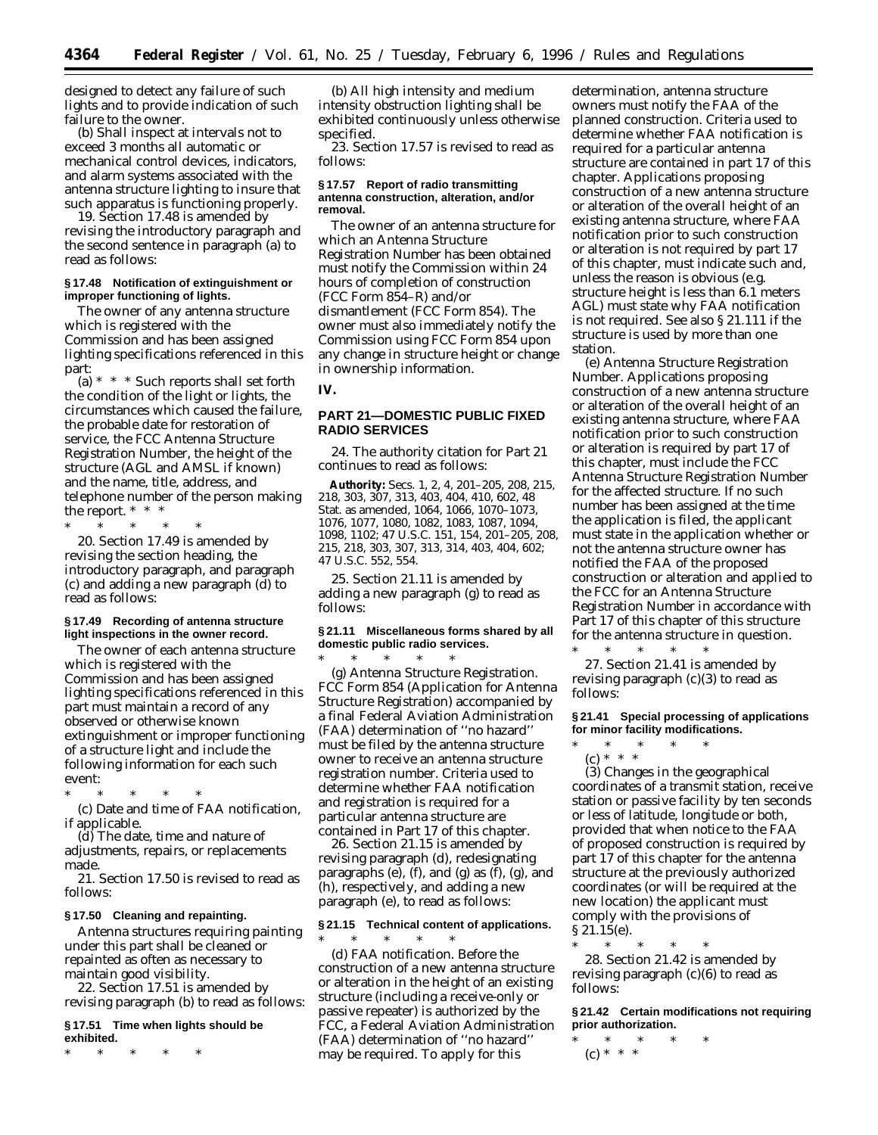designed to detect any failure of such lights and to provide indication of such failure to the owner.

(b) Shall inspect at intervals not to exceed 3 months all automatic or mechanical control devices, indicators, and alarm systems associated with the antenna structure lighting to insure that such apparatus is functioning properly.

19. Section 17.48 is amended by revising the introductory paragraph and the second sentence in paragraph (a) to read as follows:

#### **§ 17.48 Notification of extinguishment or improper functioning of lights.**

The owner of any antenna structure which is registered with the Commission and has been assigned lighting specifications referenced in this part:

(a) \* \* \* Such reports shall set forth the condition of the light or lights, the circumstances which caused the failure, the probable date for restoration of service, the FCC Antenna Structure Registration Number, the height of the structure (AGL and AMSL if known) and the name, title, address, and telephone number of the person making the report. \* \* \*

\* \* \* \* \* 20. Section 17.49 is amended by revising the section heading, the introductory paragraph, and paragraph (c) and adding a new paragraph (d) to read as follows:

## **§ 17.49 Recording of antenna structure light inspections in the owner record.**

The owner of each antenna structure which is registered with the Commission and has been assigned lighting specifications referenced in this part must maintain a record of any observed or otherwise known extinguishment or improper functioning of a structure light and include the following information for each such event:

\* \* \* \* \* (c) Date and time of FAA notification, if applicable.

(d) The date, time and nature of adjustments, repairs, or replacements made.

21. Section 17.50 is revised to read as follows:

## **§ 17.50 Cleaning and repainting.**

Antenna structures requiring painting under this part shall be cleaned or repainted as often as necessary to maintain good visibility.

22. Section 17.51 is amended by revising paragraph (b) to read as follows:

**§ 17.51 Time when lights should be exhibited.**

\* \* \* \* \*

(b) All high intensity and medium intensity obstruction lighting shall be exhibited continuously unless otherwise specified.

23. Section 17.57 is revised to read as follows:

#### **§ 17.57 Report of radio transmitting antenna construction, alteration, and/or removal.**

The owner of an antenna structure for which an Antenna Structure Registration Number has been obtained must notify the Commission within 24 hours of completion of construction (FCC Form 854–R) and/or dismantlement (FCC Form 854). The owner must also immediately notify the Commission using FCC Form 854 upon any change in structure height or change in ownership information.

**IV.**

## **PART 21—DOMESTIC PUBLIC FIXED RADIO SERVICES**

24. The authority citation for Part 21 continues to read as follows:

**Authority:** Secs. 1, 2, 4, 201–205, 208, 215, 218, 303, 307, 313, 403, 404, 410, 602, 48 Stat. as amended, 1064, 1066, 1070–1073, 1076, 1077, 1080, 1082, 1083, 1087, 1094, 1098, 1102; 47 U.S.C. 151, 154, 201–205, 208, 215, 218, 303, 307, 313, 314, 403, 404, 602; 47 U.S.C. 552, 554.

25. Section 21.11 is amended by adding a new paragraph (g) to read as follows:

#### **§ 21.11 Miscellaneous forms shared by all domestic public radio services.**

\* \* \* \* \* (g) *Antenna Structure Registration.* FCC Form 854 (Application for Antenna Structure Registration) accompanied by a final Federal Aviation Administration (FAA) determination of ''no hazard'' must be filed by the antenna structure owner to receive an antenna structure registration number. Criteria used to determine whether FAA notification and registration is required for a particular antenna structure are contained in Part 17 of this chapter.

26. Section 21.15 is amended by revising paragraph (d), redesignating paragraphs (e), (f), and (g) as  $(f)$ , (g), and (h), respectively, and adding a new paragraph (e), to read as follows:

## **§ 21.15 Technical content of applications.**

 $*$  \* \*

(d) *FAA notification.* Before the construction of a new antenna structure or alteration in the height of an existing structure (including a receive-only or passive repeater) is authorized by the FCC, a Federal Aviation Administration (FAA) determination of ''no hazard'' may be required. To apply for this

determination, antenna structure owners must notify the FAA of the planned construction. Criteria used to determine whether FAA notification is required for a particular antenna structure are contained in part 17 of this chapter. Applications proposing construction of a new antenna structure or alteration of the overall height of an existing antenna structure, where FAA notification prior to such construction or alteration is *not* required by part 17 of this chapter, must indicate such and, unless the reason is obvious (*e.g.* structure height is less than 6.1 meters AGL) must state why FAA notification is *not* required. See also § 21.111 if the structure is used by more than one station.

(e) *Antenna Structure Registration Number.* Applications proposing construction of a new antenna structure or alteration of the overall height of an existing antenna structure, where FAA notification prior to such construction or alteration is required by part 17 of this chapter, must include the FCC Antenna Structure Registration Number for the affected structure. If no such number has been assigned at the time the application is filed, the applicant must state in the application whether or not the antenna structure owner has notified the FAA of the proposed construction or alteration and applied to the FCC for an Antenna Structure Registration Number in accordance with Part 17 of this chapter of this structure for the antenna structure in question.

\* \* \* \* \* 27. Section 21.41 is amended by revising paragraph (c)(3) to read as follows:

## **§ 21.41 Special processing of applications for minor facility modifications.**

\* \* \* \* \* (c) \* \* \*

(3) Changes in the geographical coordinates of a transmit station, receive station or passive facility by ten seconds or less of latitude, longitude or both, provided that when notice to the FAA of proposed construction is required by part 17 of this chapter for the antenna structure at the previously authorized coordinates (or will be required at the new location) the applicant must comply with the provisions of § 21.15(e).

\* \* \* \* \*

28. Section 21.42 is amended by revising paragraph  $(c)(6)$  to read as follows:

**§ 21.42 Certain modifications not requiring prior authorization.**

\* \* \* \* \* (c) \* \* \*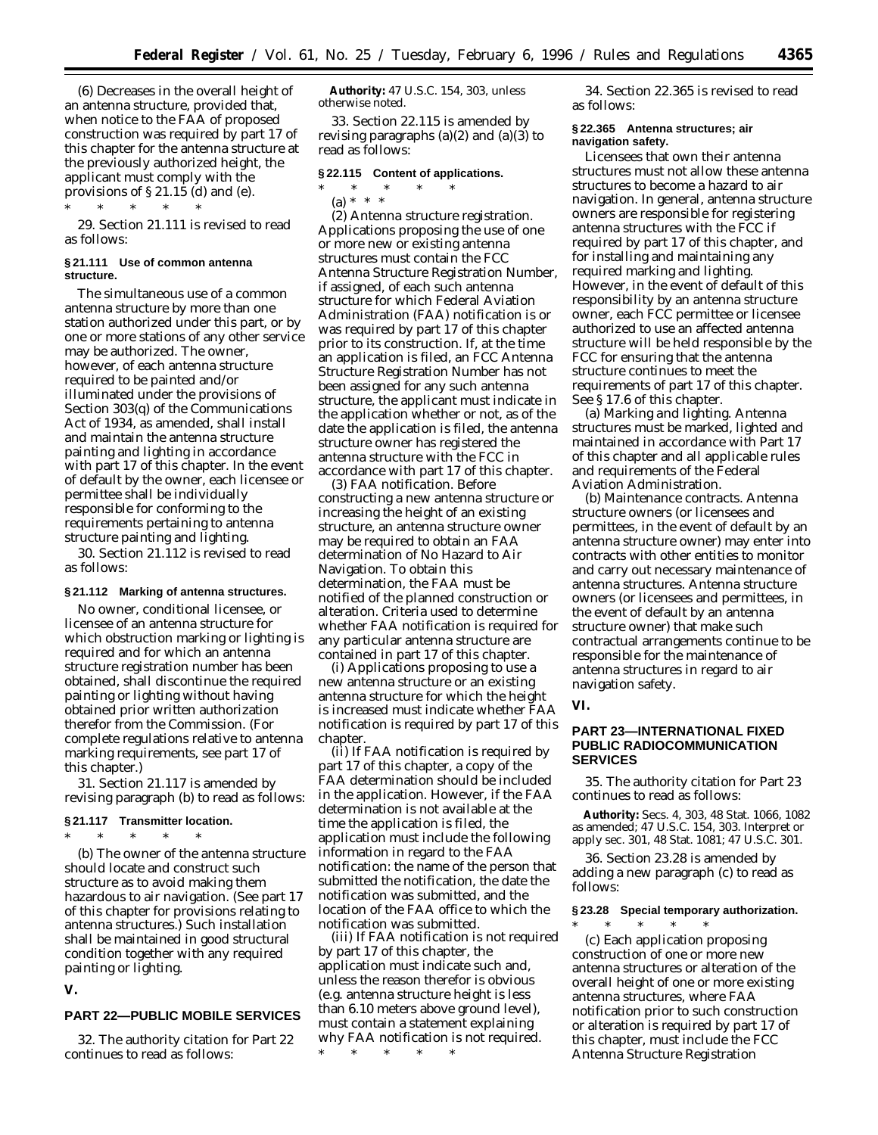(6) Decreases in the overall height of an antenna structure, provided that, when notice to the FAA of proposed construction was required by part 17 of this chapter for the antenna structure at the previously authorized height, the applicant must comply with the provisions of § 21.15 (d) and (e).

\* \* \* \* \* 29. Section 21.111 is revised to read as follows:

#### **§ 21.111 Use of common antenna structure.**

The simultaneous use of a common antenna structure by more than one station authorized under this part, or by one or more stations of any other service may be authorized. The owner, however, of each antenna structure required to be painted and/or illuminated under the provisions of Section 303(q) of the Communications Act of 1934, as amended, shall install and maintain the antenna structure painting and lighting in accordance with part 17 of this chapter. In the event of default by the owner, each licensee or permittee shall be individually responsible for conforming to the requirements pertaining to antenna structure painting and lighting.

30. Section 21.112 is revised to read as follows:

## **§ 21.112 Marking of antenna structures.**

No owner, conditional licensee, or licensee of an antenna structure for which obstruction marking or lighting is required and for which an antenna structure registration number has been obtained, shall discontinue the required painting or lighting without having obtained prior written authorization therefor from the Commission. (For complete regulations relative to antenna marking requirements, see part 17 of this chapter.)

31. Section 21.117 is amended by revising paragraph (b) to read as follows:

#### **§ 21.117 Transmitter location.**

\* \* \* \* \* (b) The owner of the antenna structure should locate and construct such structure as to avoid making them hazardous to air navigation. (See part 17 of this chapter for provisions relating to antenna structures.) Such installation shall be maintained in good structural condition together with any required painting or lighting.

**V.**

## **PART 22—PUBLIC MOBILE SERVICES**

32. The authority citation for Part 22 continues to read as follows:

**Authority:** 47 U.S.C. 154, 303, unless otherwise noted.

33. Section 22.115 is amended by revising paragraphs  $(a)(2)$  and  $(a)(3)$  to read as follows:

## **§ 22.115 Content of applications.**

\* \* \* \* \*

(a) \* \* \* (2) *Antenna structure registration.* Applications proposing the use of one or more new or existing antenna structures must contain the FCC Antenna Structure Registration Number, if assigned, of each such antenna structure for which Federal Aviation Administration (FAA) notification is or was required by part 17 of this chapter prior to its construction. If, at the time an application is filed, an FCC Antenna Structure Registration Number has not been assigned for any such antenna structure, the applicant must indicate in the application whether or not, as of the date the application is filed, the antenna structure owner has registered the antenna structure with the FCC in accordance with part 17 of this chapter.

(3) *FAA notification.* Before constructing a new antenna structure or increasing the height of an existing structure, an antenna structure owner may be required to obtain an FAA determination of No Hazard to Air Navigation. To obtain this determination, the FAA must be notified of the planned construction or alteration. Criteria used to determine whether FAA notification is required for any particular antenna structure are contained in part 17 of this chapter.

(i) Applications proposing to use a new antenna structure or an existing antenna structure for which the height is increased must indicate whether FAA notification is required by part 17 of this chapter.

(ii) If FAA notification is required by part 17 of this chapter, a copy of the FAA determination should be included in the application. However, if the FAA determination is not available at the time the application is filed, the application must include the following information in regard to the FAA notification: the name of the person that submitted the notification, the date the notification was submitted, and the location of the FAA office to which the notification was submitted.

(iii) If FAA notification is not required by part 17 of this chapter, the application must indicate such and, unless the reason therefor is obvious (e.g. antenna structure height is less than 6.10 meters above ground level), must contain a statement explaining why FAA notification is not required.

 $\ast$   $\qquad$   $\ast$   $\qquad$   $\ast$ 

34. Section 22.365 is revised to read as follows:

#### **§ 22.365 Antenna structures; air navigation safety.**

Licensees that own their antenna structures must not allow these antenna structures to become a hazard to air navigation. In general, antenna structure owners are responsible for registering antenna structures with the FCC if required by part 17 of this chapter, and for installing and maintaining any required marking and lighting. However, in the event of default of this responsibility by an antenna structure owner, each FCC permittee or licensee authorized to use an affected antenna structure will be held responsible by the FCC for ensuring that the antenna structure continues to meet the requirements of part 17 of this chapter. See § 17.6 of this chapter.

(a) *Marking and lighting.* Antenna structures must be marked, lighted and maintained in accordance with Part 17 of this chapter and all applicable rules and requirements of the Federal Aviation Administration.

(b) *Maintenance contracts.* Antenna structure owners (or licensees and permittees, in the event of default by an antenna structure owner) may enter into contracts with other entities to monitor and carry out necessary maintenance of antenna structures. Antenna structure owners (or licensees and permittees, in the event of default by an antenna structure owner) that make such contractual arrangements continue to be responsible for the maintenance of antenna structures in regard to air navigation safety.

**VI.**

## **PART 23—INTERNATIONAL FIXED PUBLIC RADIOCOMMUNICATION SERVICES**

35. The authority citation for Part 23 continues to read as follows:

**Authority:** Secs. 4, 303, 48 Stat. 1066, 1082 as amended; 47 U.S.C. 154, 303. Interpret or apply sec. 301, 48 Stat. 1081; 47 U.S.C. 301.

36. Section 23.28 is amended by adding a new paragraph (c) to read as follows:

## **§ 23.28 Special temporary authorization.** \* \* \* \* \*

(c) Each application proposing construction of one or more new antenna structures or alteration of the overall height of one or more existing antenna structures, where FAA notification prior to such construction or alteration is required by part 17 of this chapter, must include the FCC Antenna Structure Registration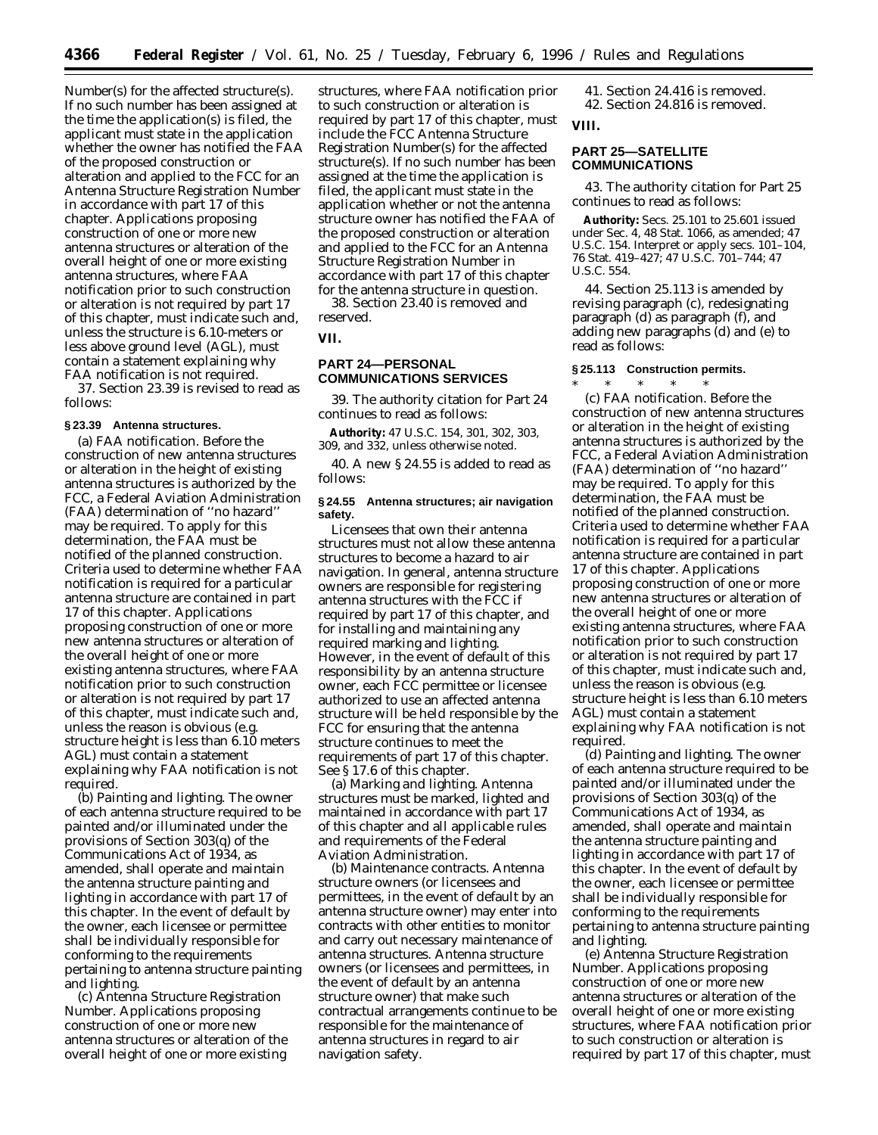Number(s) for the affected structure(s). If no such number has been assigned at the time the application(s) is filed, the applicant must state in the application whether the owner has notified the FAA of the proposed construction or alteration and applied to the FCC for an Antenna Structure Registration Number in accordance with part 17 of this chapter. Applications proposing construction of one or more new antenna structures or alteration of the overall height of one or more existing antenna structures, where FAA notification prior to such construction or alteration is *not* required by part 17 of this chapter, must indicate such and, unless the structure is 6.10-meters or less above ground level (AGL), must contain a statement explaining why FAA notification is not required.

37. Section 23.39 is revised to read as follows:

#### **§ 23.39 Antenna structures.**

(a) *FAA notification.* Before the construction of new antenna structures or alteration in the height of existing antenna structures is authorized by the FCC, a Federal Aviation Administration (FAA) determination of ''no hazard'' may be required. To apply for this determination, the FAA must be notified of the planned construction. Criteria used to determine whether FAA notification is required for a particular antenna structure are contained in part 17 of this chapter. Applications proposing construction of one or more new antenna structures or alteration of the overall height of one or more existing antenna structures, where FAA notification prior to such construction or alteration is *not* required by part 17 of this chapter, must indicate such and, unless the reason is obvious (e.g. structure height is less than 6.10 meters AGL) must contain a statement explaining why FAA notification is not required.

(b) *Painting and lighting.* The owner of each antenna structure required to be painted and/or illuminated under the provisions of Section 303(q) of the Communications Act of 1934, as amended, shall operate and maintain the antenna structure painting and lighting in accordance with part 17 of this chapter. In the event of default by the owner, each licensee or permittee shall be individually responsible for conforming to the requirements pertaining to antenna structure painting and lighting.

(c) *Antenna Structure Registration Number.* Applications proposing construction of one or more new antenna structures or alteration of the overall height of one or more existing

structures, where FAA notification prior to such construction or alteration is required by part 17 of this chapter, must include the FCC Antenna Structure Registration Number(s) for the affected structure(s). If no such number has been assigned at the time the application is filed, the applicant must state in the application whether or not the antenna structure owner has notified the FAA of the proposed construction or alteration and applied to the FCC for an Antenna Structure Registration Number in accordance with part 17 of this chapter for the antenna structure in question.

38. Section 23.40 is removed and reserved.

**VII.**

## **PART 24—PERSONAL COMMUNICATIONS SERVICES**

39. The authority citation for Part 24 continues to read as follows:

**Authority:** 47 U.S.C. 154, 301, 302, 303, 309, and 332, unless otherwise noted.

40. A new § 24.55 is added to read as follows:

## **§ 24.55 Antenna structures; air navigation safety.**

Licensees that own their antenna structures must not allow these antenna structures to become a hazard to air navigation. In general, antenna structure owners are responsible for registering antenna structures with the FCC if required by part 17 of this chapter, and for installing and maintaining any required marking and lighting. However, in the event of default of this responsibility by an antenna structure owner, each FCC permittee or licensee authorized to use an affected antenna structure will be held responsible by the FCC for ensuring that the antenna structure continues to meet the requirements of part 17 of this chapter. *See* § 17.6 of this chapter.

(a) *Marking and lighting.* Antenna structures must be marked, lighted and maintained in accordance with part 17 of this chapter and all applicable rules and requirements of the Federal Aviation Administration.

(b) *Maintenance contracts.* Antenna structure owners (or licensees and permittees, in the event of default by an antenna structure owner) may enter into contracts with other entities to monitor and carry out necessary maintenance of antenna structures. Antenna structure owners (or licensees and permittees, in the event of default by an antenna structure owner) that make such contractual arrangements continue to be responsible for the maintenance of antenna structures in regard to air navigation safety.

41. Section 24.416 is removed. 42. Section 24.816 is removed.

**VIII.**

## **PART 25—SATELLITE COMMUNICATIONS**

43. The authority citation for Part 25 continues to read as follows:

**Authority:** Secs. 25.101 to 25.601 issued under Sec. 4, 48 Stat. 1066, as amended; 47 U.S.C. 154. Interpret or apply secs. 101–104, 76 Stat. 419–427; 47 U.S.C. 701–744; 47 U.S.C. 554.

44. Section 25.113 is amended by revising paragraph (c), redesignating paragraph (d) as paragraph (f), and adding new paragraphs (d) and (e) to read as follows:

## **§ 25.113 Construction permits.**

\* \* \* \* \* (c) *FAA notification.* Before the construction of new antenna structures or alteration in the height of existing antenna structures is authorized by the FCC, a Federal Aviation Administration (FAA) determination of ''no hazard'' may be required. To apply for this determination, the FAA must be notified of the planned construction. Criteria used to determine whether FAA notification is required for a particular antenna structure are contained in part 17 of this chapter. Applications proposing construction of one or more new antenna structures or alteration of the overall height of one or more existing antenna structures, where FAA notification prior to such construction or alteration is *not* required by part 17 of this chapter, must indicate such and, unless the reason is obvious (*e.g.* structure height is less than 6.10 meters AGL) must contain a statement explaining why FAA notification is not required.

(d) *Painting and lighting.* The owner of each antenna structure required to be painted and/or illuminated under the provisions of Section 303(q) of the Communications Act of 1934, as amended, shall operate and maintain the antenna structure painting and lighting in accordance with part 17 of this chapter. In the event of default by the owner, each licensee or permittee shall be individually responsible for conforming to the requirements pertaining to antenna structure painting and lighting.

(e) *Antenna Structure Registration Number.* Applications proposing construction of one or more new antenna structures or alteration of the overall height of one or more existing structures, where FAA notification prior to such construction or alteration is required by part 17 of this chapter, must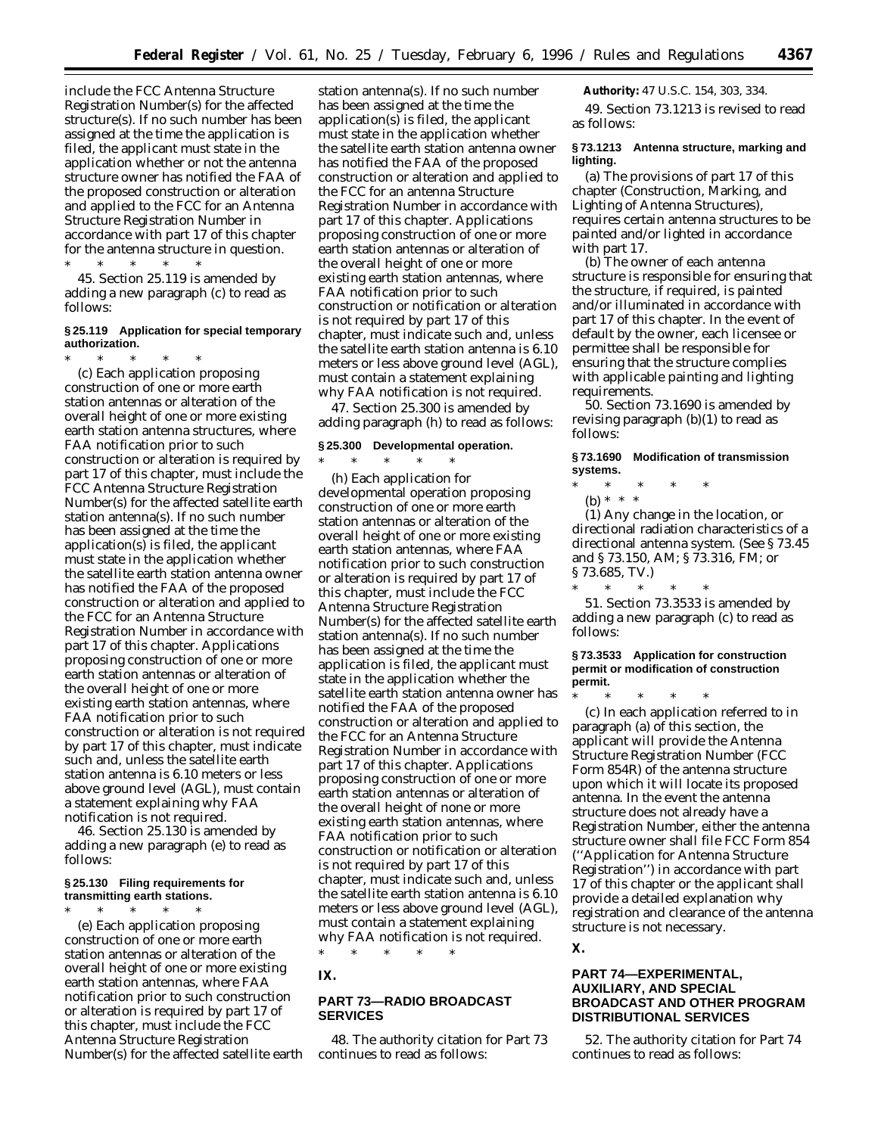include the FCC Antenna Structure Registration Number(s) for the affected structure(s). If no such number has been assigned at the time the application is filed, the applicant must state in the application whether or not the antenna structure owner has notified the FAA of the proposed construction or alteration and applied to the FCC for an Antenna Structure Registration Number in accordance with part 17 of this chapter for the antenna structure in question. \* \* \* \* \*

45. Section 25.119 is amended by adding a new paragraph (c) to read as follows:

## **§ 25.119 Application for special temporary authorization.**

\* \* \* \* \* (c) Each application proposing construction of one or more earth station antennas or alteration of the overall height of one or more existing earth station antenna structures, where FAA notification prior to such construction or alteration is required by part 17 of this chapter, must include the FCC Antenna Structure Registration Number(s) for the affected satellite earth station antenna(s). If no such number has been assigned at the time the application(s) is filed, the applicant must state in the application whether the satellite earth station antenna owner has notified the FAA of the proposed construction or alteration and applied to the FCC for an Antenna Structure Registration Number in accordance with part 17 of this chapter. Applications proposing construction of one or more earth station antennas or alteration of the overall height of one or more existing earth station antennas, where FAA notification prior to such construction or alteration is *not* required by part 17 of this chapter, must indicate such and, unless the satellite earth station antenna is 6.10 meters or less above ground level (AGL), must contain a statement explaining why FAA notification is not required.

46. Section 25.130 is amended by adding a new paragraph (e) to read as follows:

## **§ 25.130 Filing requirements for transmitting earth stations.**

\* \* \* \* \* (e) Each application proposing construction of one or more earth station antennas or alteration of the overall height of one or more existing earth station antennas, where FAA notification prior to such construction or alteration is required by part 17 of this chapter, must include the FCC Antenna Structure Registration Number(s) for the affected satellite earth

station antenna(s). If no such number has been assigned at the time the application(s) is filed, the applicant must state in the application whether the satellite earth station antenna owner has notified the FAA of the proposed construction or alteration and applied to the FCC for an antenna Structure Registration Number in accordance with part 17 of this chapter. Applications proposing construction of one or more earth station antennas or alteration of the overall height of one or more existing earth station antennas, where FAA notification prior to such construction or notification or alteration is *not* required by part 17 of this chapter, must indicate such and, unless the satellite earth station antenna is 6.10 meters or less above ground level (AGL), must contain a statement explaining why FAA notification is not required.

47. Section 25.300 is amended by adding paragraph (h) to read as follows:

## **§ 25.300 Developmental operation.**

 $*$  \* \*

(h) Each application for developmental operation proposing construction of one or more earth station antennas or alteration of the overall height of one or more existing earth station antennas, where FAA notification prior to such construction or alteration is required by part 17 of this chapter, must include the FCC Antenna Structure Registration Number(s) for the affected satellite earth station antenna(s). If no such number has been assigned at the time the application is filed, the applicant must state in the application whether the satellite earth station antenna owner has notified the FAA of the proposed construction or alteration and applied to the FCC for an Antenna Structure Registration Number in accordance with part 17 of this chapter. Applications proposing construction of one or more earth station antennas or alteration of the overall height of none or more existing earth station antennas, where FAA notification prior to such construction or notification or alteration is *not* required by part 17 of this chapter, must indicate such and, unless the satellite earth station antenna is 6.10 meters or less above ground level (AGL), must contain a statement explaining why FAA notification is not required.

**IX.**

## **PART 73—RADIO BROADCAST SERVICES**

\* \* \* \* \*

48. The authority citation for Part 73 continues to read as follows:

**Authority:** 47 U.S.C. 154, 303, 334.

49. Section 73.1213 is revised to read as follows:

## **§ 73.1213 Antenna structure, marking and lighting.**

(a) The provisions of part 17 of this chapter (Construction, Marking, and Lighting of Antenna Structures), requires certain antenna structures to be painted and/or lighted in accordance with part 17.

(b) The owner of each antenna structure is responsible for ensuring that the structure, if required, is painted and/or illuminated in accordance with part 17 of this chapter. In the event of default by the owner, each licensee or permittee shall be responsible for ensuring that the structure complies with applicable painting and lighting requirements.

50. Section 73.1690 is amended by revising paragraph  $(b)(1)$  to read as follows:

**§ 73.1690 Modification of transmission systems.**

- \* \* \* \* \*
	- (b) \* \* \*

(1) Any change in the location, or directional radiation characteristics of a directional antenna system. (See § 73.45 and § 73.150, AM; § 73.316, FM; or § 73.685, TV.)

\* \* \* \* \* 51. Section 73.3533 is amended by adding a new paragraph (c) to read as follows:

**§ 73.3533 Application for construction permit or modification of construction permit.**

\* \* \* \* \* (c) In each application referred to in paragraph (a) of this section, the applicant will provide the Antenna Structure Registration Number (FCC Form 854R) of the antenna structure upon which it will locate its proposed antenna. In the event the antenna structure does not already have a Registration Number, either the antenna structure owner shall file FCC Form 854 (''Application for Antenna Structure Registration'') in accordance with part 17 of this chapter or the applicant shall provide a detailed explanation why registration and clearance of the antenna structure is not necessary.

## **X.**

## **PART 74—EXPERIMENTAL, AUXILIARY, AND SPECIAL BROADCAST AND OTHER PROGRAM DISTRIBUTIONAL SERVICES**

52. The authority citation for Part 74 continues to read as follows: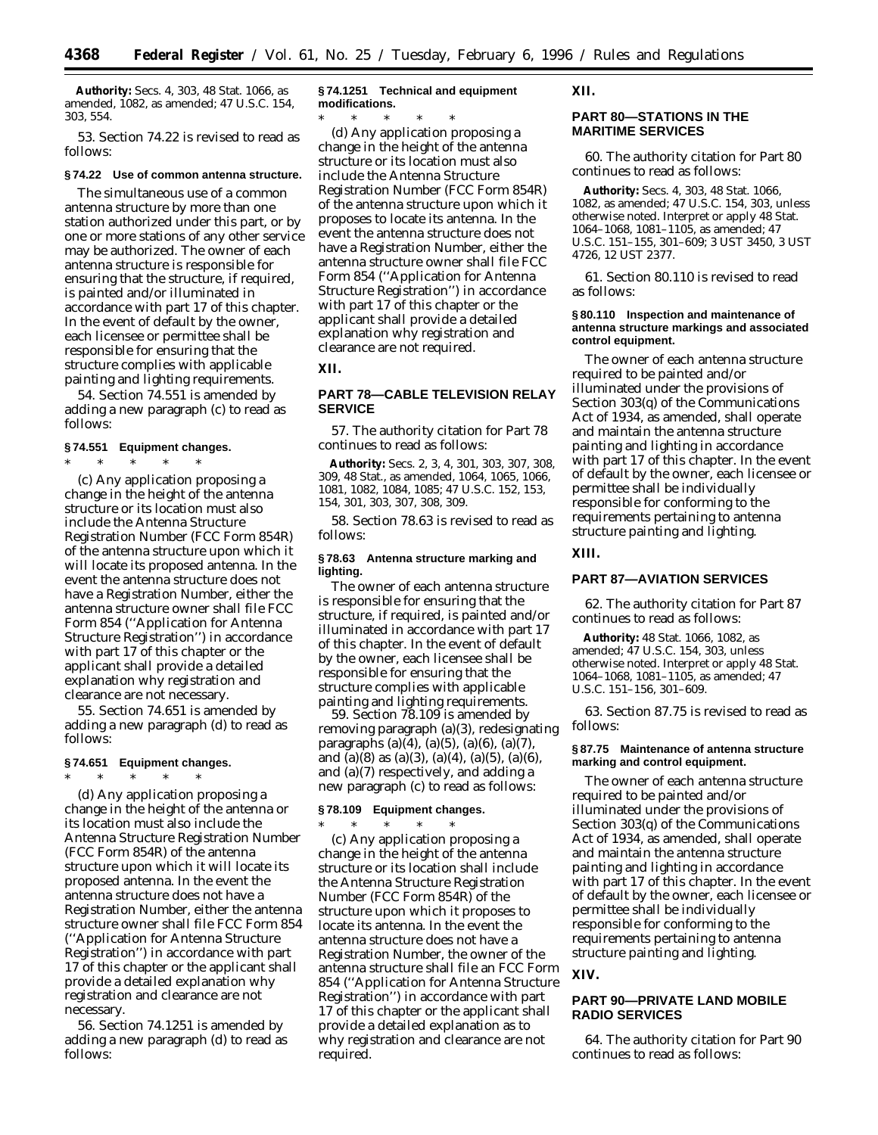**Authority:** Secs. 4, 303, 48 Stat. 1066, as amended, 1082, as amended; 47 U.S.C. 154, 303, 554.

53. Section 74.22 is revised to read as follows:

## **§ 74.22 Use of common antenna structure.**

The simultaneous use of a common antenna structure by more than one station authorized under this part, or by one or more stations of any other service may be authorized. The owner of each antenna structure is responsible for ensuring that the structure, if required, is painted and/or illuminated in accordance with part 17 of this chapter. In the event of default by the owner, each licensee or permittee shall be responsible for ensuring that the structure complies with applicable painting and lighting requirements.

54. Section 74.551 is amended by adding a new paragraph (c) to read as follows:

## **§ 74.551 Equipment changes.**

\* \* \* \* \*

(c) Any application proposing a change in the height of the antenna structure or its location must also include the Antenna Structure Registration Number (FCC Form 854R) of the antenna structure upon which it will locate its proposed antenna. In the event the antenna structure does not have a Registration Number, either the antenna structure owner shall file FCC Form 854 (''Application for Antenna Structure Registration'') in accordance with part 17 of this chapter or the applicant shall provide a detailed explanation why registration and clearance are not necessary.

55. Section 74.651 is amended by adding a new paragraph (d) to read as follows:

#### **§ 74.651 Equipment changes.**

\* \* \* \* \* (d) Any application proposing a change in the height of the antenna or its location must also include the Antenna Structure Registration Number (FCC Form 854R) of the antenna structure upon which it will locate its proposed antenna. In the event the antenna structure does not have a Registration Number, either the antenna structure owner shall file FCC Form 854 (''Application for Antenna Structure Registration'') in accordance with part 17 of this chapter or the applicant shall provide a detailed explanation why registration and clearance are not necessary.

56. Section 74.1251 is amended by adding a new paragraph (d) to read as follows:

## **§ 74.1251 Technical and equipment modifications.**

\* \* \* \* \* (d) Any application proposing a change in the height of the antenna structure or its location must also include the Antenna Structure Registration Number (FCC Form 854R) of the antenna structure upon which it proposes to locate its antenna. In the event the antenna structure does not have a Registration Number, either the antenna structure owner shall file FCC Form 854 (''Application for Antenna Structure Registration'') in accordance with part 17 of this chapter or the applicant shall provide a detailed explanation why registration and clearance are not required.

#### **XII.**

## **PART 78—CABLE TELEVISION RELAY SERVICE**

57. The authority citation for Part 78 continues to read as follows:

**Authority:** Secs. 2, 3, 4, 301, 303, 307, 308, 309, 48 Stat., as amended, 1064, 1065, 1066, 1081, 1082, 1084, 1085; 47 U.S.C. 152, 153, 154, 301, 303, 307, 308, 309.

58. Section 78.63 is revised to read as follows:

## **§ 78.63 Antenna structure marking and lighting.**

The owner of each antenna structure is responsible for ensuring that the structure, if required, is painted and/or illuminated in accordance with part 17 of this chapter. In the event of default by the owner, each licensee shall be responsible for ensuring that the structure complies with applicable painting and lighting requirements.

59. Section 78.109 is amended by removing paragraph (a)(3), redesignating paragraphs (a)(4), (a)(5), (a)(6), (a)(7), and (a)(8) as (a)(3), (a)(4), (a)(5), (a)(6), and (a)(7) respectively, and adding a new paragraph (c) to read as follows:

## **§ 78.109 Equipment changes.**

 $*$  \* \*

(c) Any application proposing a change in the height of the antenna structure or its location shall include the Antenna Structure Registration Number (FCC Form 854R) of the structure upon which it proposes to locate its antenna. In the event the antenna structure does not have a Registration Number, the owner of the antenna structure shall file an FCC Form 854 (''Application for Antenna Structure Registration'') in accordance with part 17 of this chapter or the applicant shall provide a detailed explanation as to why registration and clearance are not required.

## **XII.**

## **PART 80—STATIONS IN THE MARITIME SERVICES**

60. The authority citation for Part 80 continues to read as follows:

**Authority:** Secs. 4, 303, 48 Stat. 1066, 1082, as amended; 47 U.S.C. 154, 303, unless otherwise noted. Interpret or apply 48 Stat. 1064–1068, 1081–1105, as amended; 47 U.S.C. 151–155, 301–609; 3 UST 3450, 3 UST 4726, 12 UST 2377.

61. Section 80.110 is revised to read as follows:

#### **§ 80.110 Inspection and maintenance of antenna structure markings and associated control equipment.**

The owner of each antenna structure required to be painted and/or illuminated under the provisions of Section 303(q) of the Communications Act of 1934, as amended, shall operate and maintain the antenna structure painting and lighting in accordance with part 17 of this chapter. In the event of default by the owner, each licensee or permittee shall be individually responsible for conforming to the requirements pertaining to antenna structure painting and lighting.

## **XIII.**

## **PART 87—AVIATION SERVICES**

62. The authority citation for Part 87 continues to read as follows:

**Authority:** 48 Stat. 1066, 1082, as amended; 47 U.S.C. 154, 303, unless otherwise noted. Interpret or apply 48 Stat. 1064–1068, 1081–1105, as amended; 47 U.S.C. 151–156, 301–609.

63. Section 87.75 is revised to read as follows:

#### **§ 87.75 Maintenance of antenna structure marking and control equipment.**

The owner of each antenna structure required to be painted and/or illuminated under the provisions of Section 303(q) of the Communications Act of 1934, as amended, shall operate and maintain the antenna structure painting and lighting in accordance with part 17 of this chapter. In the event of default by the owner, each licensee or permittee shall be individually responsible for conforming to the requirements pertaining to antenna structure painting and lighting.

## **XIV.**

## **PART 90—PRIVATE LAND MOBILE RADIO SERVICES**

64. The authority citation for Part 90 continues to read as follows: